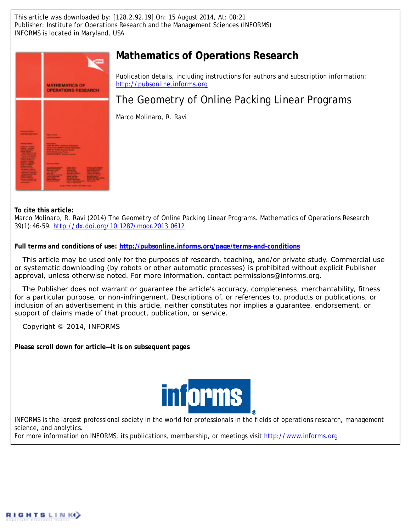This article was downloaded by: [128.2.92.19] On: 15 August 2014, At: 08:21 Publisher: Institute for Operations Research and the Management Sciences (INFORMS) INFORMS is located in Maryland, USA



## **Mathematics of Operations Research**

Publication details, including instructions for authors and subscription information: <http://pubsonline.informs.org>

# The Geometry of Online Packing Linear Programs

Marco Molinaro, R. Ravi

**To cite this article:**

Marco Molinaro, R. Ravi (2014) The Geometry of Online Packing Linear Programs. Mathematics of Operations Research 39(1):46-59. <http://dx.doi.org/10.1287/moor.2013.0612>

**Full terms and conditions of use: <http://pubsonline.informs.org/page/terms-and-conditions>**

This article may be used only for the purposes of research, teaching, and/or private study. Commercial use or systematic downloading (by robots or other automatic processes) is prohibited without explicit Publisher approval, unless otherwise noted. For more information, contact permissions@informs.org.

The Publisher does not warrant or guarantee the article's accuracy, completeness, merchantability, fitness for a particular purpose, or non-infringement. Descriptions of, or references to, products or publications, or inclusion of an advertisement in this article, neither constitutes nor implies a guarantee, endorsement, or support of claims made of that product, publication, or service.

Copyright © 2014, INFORMS

**Please scroll down for article—it is on subsequent pages**



INFORMS is the largest professional society in the world for professionals in the fields of operations research, management science, and analytics.

For more information on INFORMS, its publications, membership, or meetings visit <http://www.informs.org>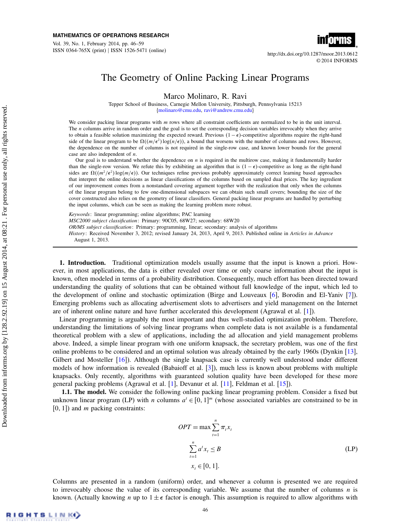Vol. 39, No. 1, February 2014, pp. 46–59 ISSN 0364-765X (print) | ISSN 1526-5471 (online) http://dx.doi.org/10.1287/moor.2013.0612



© 2014 INFORMS

### The Geometry of Online Packing Linear Programs

Marco Molinaro, R. Ravi

Tepper School of Business, Carnegie Mellon University, Pittsburgh, Pennsylvania 15213 [{molinaro@cmu.edu,](mailto:molinaro@cmu.edu) [ravi@andrew.cmu.edu}](mailto:ravi@andrew.cmu.edu)

We consider packing linear programs with m rows where all constraint coefficients are normalized to be in the unit interval. The *n* columns arrive in random order and the goal is to set the corresponding decision variables irrevocably when they arrive to obtain a feasible solution maximizing the expected reward. Previous  $(1 - \epsilon)$ -competitive algorithms require the right-hand side of the linear program to be  $\Omega((m/\epsilon^2) \log(n/\epsilon))$ , a bound that worsens with the number of columns and rows. However, the dependence on the number of columns is not required in the single-row case, and known lower bounds for the general case are also independent of n.

Our goal is to understand whether the dependence on  $n$  is required in the multirow case, making it fundamentally harder than the single-row version. We refute this by exhibiting an algorithm that is  $(1 - \epsilon)$ -competitive as long as the right-hand sides are  $\Omega((m^2/\epsilon^2) \log(m/\epsilon))$ . Our techniques refine previous probably approximately correct learning based approaches that interpret the online decisions as linear classifications of the columns based on sampled dual prices. The key ingredient of our improvement comes from a nonstandard covering argument together with the realization that only when the columns of the linear program belong to few one-dimensional subspaces we can obtain such small covers; bounding the size of the cover constructed also relies on the geometry of linear classifiers. General packing linear programs are handled by perturbing the input columns, which can be seen as making the learning problem more robust.

Keywords: linear programming; online algorithms; PAC learning MSC2000 subject classification: Primary: 90C05, 68W27; secondary: 68W20 OR/MS subject classification: Primary: programming, linear; secondary: analysis of algorithms History: Received November 3, 2012; revised January 24, 2013, April 9, 2013. Published online in Articles in Advance August 1, 2013.

1. Introduction. Traditional optimization models usually assume that the input is known a priori. However, in most applications, the data is either revealed over time or only coarse information about the input is known, often modeled in terms of a probability distribution. Consequently, much effort has been directed toward understanding the quality of solutions that can be obtained without full knowledge of the input, which led to the development of online and stochastic optimization (Birge and Louveaux [\[6\]](#page-14-0), Borodin and El-Yaniv [\[7\]](#page-14-1)). Emerging problems such as allocating advertisement slots to advertisers and yield management on the Internet are of inherent online nature and have further accelerated this development (Agrawal et al. [\[1\]](#page-14-2)).

Linear programming is arguably the most important and thus well-studied optimization problem. Therefore, understanding the limitations of solving linear programs when complete data is not available is a fundamental theoretical problem with a slew of applications, including the ad allocation and yield management problems above. Indeed, a simple linear program with one uniform knapsack, the secretary problem, was one of the first online problems to be considered and an optimal solution was already obtained by the early 1960s (Dynkin [\[13\]](#page-14-3), Gilbert and Mosteller [\[16\]](#page-14-4)). Although the single knapsack case is currently well understood under different models of how information is revealed (Babaioff et al. [\[3\]](#page-14-5)), much less is known about problems with multiple knapsacks. Only recently, algorithms with guaranteed solution quality have been developed for these more general packing problems (Agrawal et al. [\[1\]](#page-14-2), Devanur et al. [\[11\]](#page-14-6), Feldman et al. [\[15\]](#page-14-7)).

1.1. The model. We consider the following online packing linear programing problem. Consider a fixed but unknown linear program (LP) with *n* columns  $a^t \in [0, 1]^m$  (whose associated variables are constrained to be in  $[0, 1]$  and *m* packing constraints:

<span id="page-1-0"></span>
$$
OPT = \max \sum_{t=1}^{n} \pi_t x_t
$$
  

$$
\sum_{t=1}^{n} a^t x_t \le B
$$
  

$$
x_t \in [0, 1].
$$
 (LP)

Columns are presented in a random (uniform) order, and whenever a column is presented we are required to irrevocably choose the value of its corresponding variable. We assume that the number of columns  $n$  is known. (Actually knowing *n* up to  $1 \pm \epsilon$  factor is enough. This assumption is required to allow algorithms with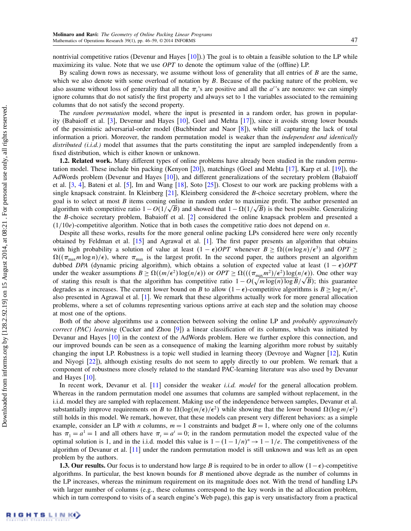nontrivial competitive ratios (Devenur and Hayes  $[10]$ ).) The goal is to obtain a feasible solution to the LP while maximizing its value. Note that we use  $OPT$  to denote the optimum value of the (offline) LP.

By scaling down rows as necessary, we assume without loss of generality that all entries of  $B$  are the same, which we also denote with some overload of notation by  $B$ . Because of the packing nature of the problem, we also assume without loss of generality that all the  $\pi$ 's are positive and all the  $a$ 's are nonzero: we can simply ignore columns that do not satisfy the first property and always set to 1 the variables associated to the remaining columns that do not satisfy the second property.

The *random permutation* model, where the input is presented in a random order, has grown in popularity (Babaioff et al. [\[3\]](#page-14-5), Devenur and Hayes [\[10\]](#page-14-8), Goel and Mehta [\[17\]](#page-14-9)), since it avoids strong lower bounds of the pessimistic adversarial-order model (Buchbinder and Naor [\[8\]](#page-14-10)), while still capturing the lack of total information a priori. Moreover, the random permutation model is weaker than the independent and identically distributed (i.i.d.) model that assumes that the parts constituting the input are sampled independently from a fixed distribution, which is either known or unknown.

1.2. Related work. Many different types of online problems have already been studied in the random permutation model. These include bin packing (Kenyon [\[20\]](#page-14-11)), matchings (Goel and Mehta [\[17\]](#page-14-9), Karp et al. [\[19\]](#page-14-12)), the AdWords problem (Devenur and Hayes [\[10\]](#page-14-8)), and different generalizations of the secretary problem (Babaioff et al. [\[3,](#page-14-5) [4\]](#page-14-13), Bateni et al. [\[5\]](#page-14-14), Im and Wang [\[18\]](#page-14-15), Soto [\[25\]](#page-14-16)). Closest to our work are packing problems with a single knapsack constraint. In Kleinberg [\[21\]](#page-14-17), Kleinberg considered the B-choice secretary problem, where the goal is to select at most B items coming online in random order to maximize profit. The author presented an algorithm with competitive ratio  $1 - O(1/\sqrt{B})$  and showed that  $1 - \Omega(1/\sqrt{B})$  is the best possible. Generalizing the B-choice secretary problem, Babaioff et al. [\[2\]](#page-14-18) considered the online knapsack problem and presented a  $(1/10e)$ -competitive algorithm. Notice that in both cases the competitive ratio does not depend on n.

Despite all these works, results for the more general online packing LPs considered here were only recently obtained by Feldman et al. [\[15\]](#page-14-7) and Agrawal et al. [\[1\]](#page-14-2). The first paper presents an algorithm that obtains with high probability a solution of value at least  $(1 - \epsilon)OPT$  whenever  $B \ge \Omega((m \log n)/\epsilon^3)$  and  $OPT \ge$  $\Omega((\pi_{\text{max}} m \log n)/\epsilon)$ , where  $\pi_{\text{max}}$  is the largest profit. In the second paper, the authors present an algorithm dubbed DPA (dynamic pricing algorithm), which obtains a solution of expected value at least  $(1 - \epsilon)OPT$ under the weaker assumptions  $B \ge \Omega((m/\epsilon^2) \log(n/\epsilon))$  or  $OPT \ge \Omega(((\pi_{\max} m^2)/\epsilon^2) \log(n/\epsilon))$ . One other way under the weaker assumptions  $B \geq \Omega(\frac{m}{\epsilon}) \log(n/\epsilon)$  or  $OPT \geq \Omega(\frac{m_{\text{max}}m^2}{\epsilon}) \log(n/\epsilon)$ . One other way of stating this result is that the algorithm has competitive ratio  $1 - O(\sqrt{m \log(n) \log B/\sqrt{B}})$ ; this guarantee degrades as *n* increases. The current lower bound on B to allow  $(1 - \epsilon)$ -competitive algorithms is  $B \ge \log m/\epsilon^2$ , also presented in Agrawal et al. [\[1\]](#page-14-2). We remark that these algorithms actually work for more general allocation problems, where a set of columns representing various options arrive at each step and the solution may choose at most one of the options.

Both of the above algorithms use a connection between solving the online LP and probably approximately correct (PAC) learning (Cucker and Zhou [\[9\]](#page-14-19)) a linear classification of its columns, which was initiated by Devanur and Hayes [\[10\]](#page-14-8) in the context of the AdWords problem. Here we further explore this connection, and our improved bounds can be seen as a consequence of making the learning algorithm more robust by suitably changing the input LP. Robustness is a topic well studied in learning theory (Devroye and Wagner [\[12\]](#page-14-20), Kutin and Niyogi [\[22\]](#page-14-21)), although existing results do not seem to apply directly to our problem. We remark that a component of robustness more closely related to the standard PAC-learning literature was also used by Devanur and Hayes [\[10\]](#page-14-8).

In recent work, Devanur et al. [\[11\]](#page-14-6) consider the weaker *i.i.d. model* for the general allocation problem. Whereas in the random permutation model one assumes that columns are sampled without replacement, in the i.i.d. model they are sampled with replacement. Making use of the independence between samples, Devanur et al. substantially improve requirements on B to  $\Omega(\log(m/\epsilon)/\epsilon^2)$  while showing that the lower bound  $\Omega(\log m/\epsilon^2)$ still holds in this model. We remark, however, that these models can present very different behaviors: as a simple example, consider an LP with *n* columns,  $m = 1$  constraints and budget  $B = 1$ , where only one of the columns has  $\pi_1 = a^1 = 1$  and all others have  $\pi_1 = a^1 = 0$ ; in the random permutation model the expected value of the optimal solution is 1, and in the i.i.d. model this value is  $1 - (1 - 1/n)^n \rightarrow 1 - 1/e$ . The competitiveness of the algorithm of Devanur et al. [\[11\]](#page-14-6) under the random permutation model is still unknown and was left as an open problem by the authors.

1.3. Our results. Our focus is to understand how large B is required to be in order to allow  $(1 - \epsilon)$ -competitive algorithms. In particular, the best known bounds for  $B$  mentioned above degrade as the number of columns in the LP increases, whereas the minimum requirement on its magnitude does not. With the trend of handling LPs with larger number of columns (e.g., these columns correspond to the key words in the ad allocation problem, which in turn correspond to visits of a search engine's Web page), this gap is very unsatisfactory from a practical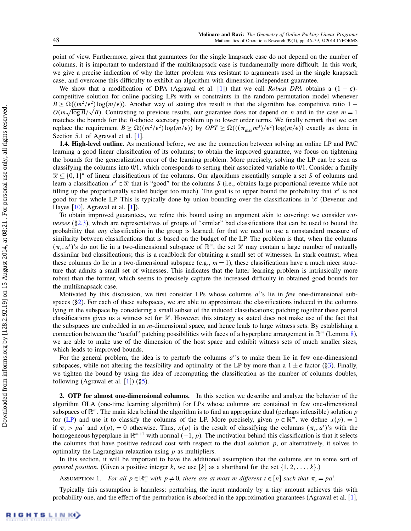point of view. Furthermore, given that guarantees for the single knapsack case do not depend on the number of columns, it is important to understand if the multiknapsack case is fundamentally more difficult. In this work, we give a precise indication of why the latter problem was resistant to arguments used in the single knapsack case, and overcome this difficulty to exhibit an algorithm with dimension-independent guarantee.

We show that a modification of DPA (Agrawal et al. [\[1\]](#page-14-2)) that we call Robust DPA obtains a  $(1 - \epsilon)$ competitive solution for online packing LPs with m constraints in the random permutation model whenever  $B \geq \Omega((m^2/\epsilon^2) \log(m/\epsilon))$ . Another way of stating this result is that the algorithm has competitive ratio 1 –  $B \ge \Omega((m^2/\epsilon^2) \log(m/\epsilon))$ . Another way of stating this result is that the algorithm has competitive ratio  $1 - O(m\sqrt{\log B}/\sqrt{B})$ . Contrasting to previous results, our guarantee does not depend on *n* and in the case  $m = 1$ matches the bounds for the B-choice secretary problem up to lower order terms. We finally remark that we can replace the requirement  $B \ge \Omega((m^2/\epsilon^2) \log(m/\epsilon))$  by  $OPT \ge \Omega(((\pi_{\max} m^3)/\epsilon^2) \log(m/\epsilon))$  exactly as done in Section 5.1 of Agrawal et al. [\[1\]](#page-14-2).

1.4. High-level outline. As mentioned before, we use the connection between solving an online LP and PAC learning a good linear classification of its columns; to obtain the improved guarantee, we focus on tightening the bounds for the generalization error of the learning problem. More precisely, solving the LP can be seen as classifying the columns into 0/1, which corresponds to setting their associated variable to 0/1. Consider a family  $\mathcal{X} \subseteq \{0,1\}^n$  of linear classifications of the columns. Our algorithms essentially sample a set S of columns and learn a classification  $x^S \in \mathcal{X}$  that is "good" for the columns S (i.e., obtains large proportional revenue while not filling up the proportionally scaled budget too much). The goal is to upper bound the probability that  $x<sup>S</sup>$  is not good for the whole LP. This is typically done by union bounding over the classifications in  $\mathcal X$  (Devenur and Hayes  $[10]$ , Agrawal et al.  $[1]$ ).

To obtain improved guarantees, we refine this bound using an argument akin to covering: we consider witnesses ( $\S 2.3$ ), which are representatives of groups of "similar" bad classifications that can be used to bound the probability that any classification in the group is learned; for that we need to use a nonstandard measure of similarity between classifications that is based on the budget of the LP. The problem is that, when the columns  $(\pi_t, a^t)$ 's do not lie in a two-dimensional subspace of  $\mathbb{R}^m$ , the set  $\mathcal X$  may contain a large number of mutually dissimilar bad classifications; this is a roadblock for obtaining a small set of witnesses. In stark contrast, when these columns do lie in a two-dimensional subspace (e.g.,  $m = 1$ ), these classifications have a much nicer structure that admits a small set of witnesses. This indicates that the latter learning problem is intrinsically more robust than the former, which seems to precisely capture the increased difficulty in obtained good bounds for the multiknapsack case.

Motivated by this discussion, we first consider LPs whose columns  $a<sup>t</sup>$ 's lie in few one-dimensional subspaces  $(\S 2)$ . For each of these subspaces, we are able to approximate the classifications induced in the columns lying in the subspace by considering a small subset of the induced classifications; patching together these partial classifications gives us a witness set for  $\mathscr X$ . However, this strategy as stated does not make use of the fact that the subspaces are embedded in an m-dimensional space, and hence leads to large witness sets. By establishing a connection between the "useful" patching possibilities with faces of a hyperplane arrangement in  $\mathbb{R}^m$  (Lemma [8\)](#page-8-0), we are able to make use of the dimension of the host space and exhibit witness sets of much smaller sizes, which leads to improved bounds.

For the general problem, the idea is to perturb the columns  $a^t$ 's to make them lie in few one-dimensional subspaces, while not altering the feasibility and optimality of the LP by more than a  $1 \pm \epsilon$  factor ([§3\)](#page-8-1). Finally, we tighten the bound by using the idea of recomputing the classification as the number of columns doubles, following (Agrawal et al.  $[1]$ ) ( $\S$ 5).

<span id="page-3-0"></span>2. OTP for almost one-dimensional columns. In this section we describe and analyze the behavior of the algorithm OLA (one-time learning algorithm) for LPs whose columns are contained in few one-dimensional subspaces of  $\mathbb{R}^m$ . The main idea behind the algorithm is to find an appropriate dual (perhaps infeasible) solution p for [\(LP\)](#page-1-0) and use it to classify the columns of the LP. More precisely, given  $p \in \mathbb{R}^m$ , we define  $x(p)_t = 1$ if  $\pi_t > pa^t$  and  $x(p)_t = 0$  otherwise. Thus,  $x(p)$  is the result of classifying the columns  $(\pi_t, a^t)$ 's with the homogeneous hyperplane in  $\mathbb{R}^{m+1}$  with normal  $(-1, p)$ . The motivation behind this classification is that it selects the columns that have positive reduced cost with respect to the dual solution  $p$ , or alternatively, it solves to optimality the Lagrangian relaxation using  *as multipliers.* 

In this section, it will be important to have the additional assumption that the columns are in some sort of general position. (Given a positive integer k, we use [k] as a shorthand for the set  $\{1, 2, \ldots, k\}$ .)

<span id="page-3-1"></span>ASSUMPTION 1. For all  $p \in \mathbb{R}^m_+$  with  $p \neq 0$ , there are at most m different  $t \in [n]$  such that  $\pi_t = pa^t$ .

Typically this assumption is harmless: perturbing the input randomly by a tiny amount achieves this with probability one, and the effect of the perturbation is absorbed in the approximation guarantees (Agrawal et al. [\[1\]](#page-14-2),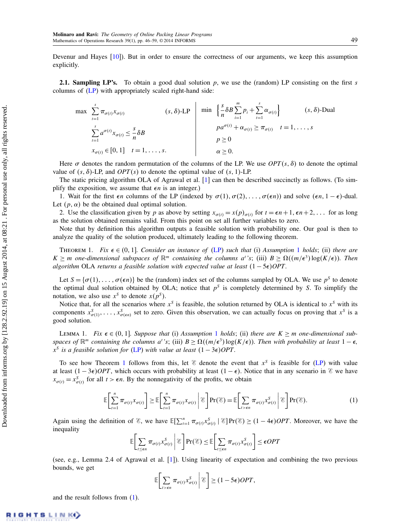Devenur and Hayes [\[10\]](#page-14-8)). But in order to ensure the correctness of our arguments, we keep this assumption explicitly.

**2.1. Sampling LP's.** To obtain a good dual solution p, we use the (random) LP consisting on the first s columns of [\(LP\)](#page-1-0) with appropriately scaled right-hand side:

$$
\max \sum_{t=1}^{s} \pi_{\sigma(t)} x_{\sigma(t)} \qquad (s, \delta)\text{-LP} \qquad \min \left\{ \frac{s}{n} \delta B \sum_{i=1}^{m} p_i + \sum_{t=1}^{s} \alpha_{\sigma(t)} \right\} \qquad (s, \delta)\text{-Dual}
$$
\n
$$
\sum_{t=1}^{s} a^{\sigma(t)} x_{\sigma(t)} \le \frac{s}{n} \delta B \qquad p a^{\sigma(t)} + \alpha_{\sigma(t)} \ge \pi_{\sigma(t)} \qquad t = 1, \dots, s
$$
\n
$$
p \ge 0
$$
\n
$$
x_{\sigma(t)} \in [0, 1] \quad t = 1, \dots, s.
$$
\n
$$
\alpha \ge 0.
$$
\n
$$
(s, \delta)\text{-Dual}
$$

Here  $\sigma$  denotes the random permutation of the columns of the LP. We use  $OPT(s, \delta)$  to denote the optimal value of  $(s, \delta)$ -LP, and  $OPT(s)$  to denote the optimal value of  $(s, 1)$ -LP.

The static pricing algorithm OLA of Agrawal et al. [\[1\]](#page-14-2) can then be described succinctly as follows. (To simplify the exposition, we assume that  $\epsilon n$  is an integer.)

1. Wait for the first  $\epsilon n$  columns of the LP (indexed by  $\sigma(1), \sigma(2), \ldots, \sigma(\epsilon n)$ ) and solve  $(\epsilon n, 1 - \epsilon)$ -dual. Let  $(p, \alpha)$  be the obtained dual optimal solution.

2. Use the classification given by p as above by setting  $x_{\sigma(t)} = x(p)_{\sigma(t)}$  for  $t = \epsilon n + 1, \epsilon n + 2, \ldots$  for as long as the solution obtained remains valid. From this point on set all further variables to zero.

Note that by definition this algorithm outputs a feasible solution with probability one. Our goal is then to analyze the quality of the solution produced, ultimately leading to the following theorem.

<span id="page-4-0"></span>THEOREM [1](#page-3-1). Fix  $\epsilon \in (0, 1]$ . Consider an instance of [\(LP\)](#page-1-0) such that (i) Assumption 1 holds; (ii) there are  $K \geq m$  one-dimensional subspaces of  $\mathbb{R}^m$  containing the columns a''s; (iii)  $B \geq \Omega((m/\epsilon^3) \log(K/\epsilon))$ . Then algorithm OLA returns a feasible solution with expected value at least  $(1 - 5\epsilon)OPT$ .

Let  $S = {\sigma(1), \ldots, \sigma(\epsilon n)}$  be the (random) index set of the columns sampled by OLA. We use  $p^s$  to denote the optimal dual solution obtained by OLA; notice that  $p^s$  is completely determined by S. To simplify the notation, we also use  $x^s$  to denote  $x(p^s)$ .

Notice that, for all the scenarios where  $x^s$  is feasible, the solution returned by OLA is identical to  $x^s$  with its components  $x^S_{\sigma(1)},\ldots,x^S_{\sigma(\epsilon n)}$  set to zero. Given this observation, we can actually focus on proving that  $x^S$  is a good solution.

<span id="page-4-2"></span>LEMMA [1](#page-3-1). Fix  $\epsilon \in (0, 1]$ . Suppose that (i) Assumption 1 holds; (ii) there are  $K \ge m$  one-dimensional subspaces of  $\mathbb{R}^m$  containing the columns a<sup>t</sup>'s; (iii)  $B \geq \Omega((m/\epsilon^3) \log(K/\epsilon))$ . Then with probability at least  $1-\epsilon$ ,  $x^S$  is a feasible solution for [\(LP\)](#page-1-0) with value at least  $(1-3\epsilon)OPT$ .

To see how Theorem [1](#page-4-0) follows from this, let  $\mathscr E$  denote the event that  $x^S$  is feasible for [\(LP\)](#page-1-0) with value at least  $(1 - 3\epsilon)$ OPT, which occurs with probability at least  $(1 - \epsilon)$ . Notice that in any scenario in  $\epsilon$  we have  $x_{\sigma(t)} = x_{\sigma(t)}^S$  for all  $t > \epsilon n$ . By the nonnegativity of the profits, we obtain

<span id="page-4-1"></span>
$$
\mathbb{E}\bigg[\sum_{t=1}^n \pi_{\sigma(t)} x_{\sigma(t)}\bigg] \ge \mathbb{E}\bigg[\sum_{t=1}^n \pi_{\sigma(t)} x_{\sigma(t)} \bigg| \mathcal{E}\bigg] \Pr(\mathcal{E}) = \mathbb{E}\bigg[\sum_{t > \epsilon n} \pi_{\sigma(t)} x_{\sigma(t)}^S \bigg| \mathcal{E}\bigg] \Pr(\mathcal{E}).\tag{1}
$$

Again using the definition of  $\mathscr{E}$ , we have  $\mathbb{E}[\sum_{t=1}^{n} \pi_{\sigma(t)} x_{\sigma(t)}^S | \mathscr{E}] Pr(\mathscr{E}) \geq (1 - 4\epsilon)OPT$ . Moreover, we have the inequality

$$
\mathbb{E}\bigg[\sum_{t\leq\epsilon n}\pi_{\sigma(t)}x_{\sigma(t)}^S\bigg|\,\mathcal{E}\bigg]\Pr(\mathcal{E})\leq \mathbb{E}\bigg[\sum_{t\leq\epsilon n}\pi_{\sigma(t)}x_{\sigma(t)}^S\bigg]\leq \epsilon OPT
$$

(see, e.g., Lemma 2.4 of Agrawal et al. [\[1\]](#page-14-2)). Using linearity of expectation and combining the two previous bounds, we get

$$
\mathbb{E}\bigg[\sum_{t>\epsilon n}\pi_{\sigma(t)}x_{\sigma(t)}^S\bigg|\,\mathscr{E}\bigg]\geq (1-5\epsilon)OPT,
$$

and the result follows from [\(1\)](#page-4-1).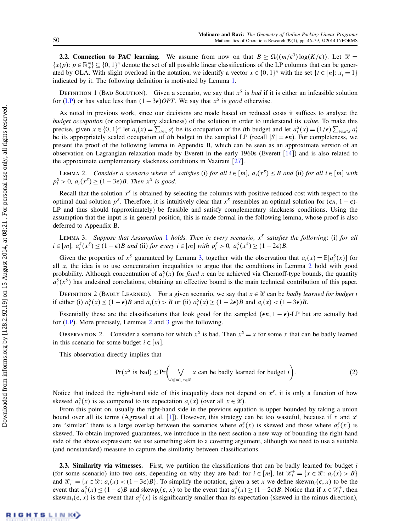**2.2. Connection to PAC learning.** We assume from now on that  $B \ge \Omega((m/\epsilon^3) \log(K/\epsilon))$ . Let  $\mathcal{X} =$  $\{x(p): p \in \mathbb{R}^m_+\} \subseteq \{0, 1\}^n$  denote the set of all possible linear classifications of the LP columns that can be generated by OLA. With slight overload in the notation, we identify a vector  $x \in \{0, 1\}^n$  with the set  $\{t \in [n]: x_t = 1\}$ indicated by it. The following definition is motivated by Lemma [1.](#page-4-2)

DEFINITION 1 (BAD SOLUTION). Given a scenario, we say that  $x^s$  is *bad* if it is either an infeasible solution for [\(LP\)](#page-1-0) or has value less than  $(1 - 3\epsilon)$ OPT. We say that x<sup>S</sup> is good otherwise.

As noted in previous work, since our decisions are made based on reduced costs it suffices to analyze the budget occupation (or complementary slackness) of the solution in order to understand its value. To make this precise, given  $x \in \{0, 1\}^n$  let  $a_i(x) = \sum_{t \in x} a_i^t$  be its occupation of the *i*th budget and let  $a_i^S(x) = (1/\epsilon) \sum_{t \in x \cap S} a_i^t$ be its appropriately scaled occupation of *i*th budget in the sampled LP (recall  $|S| = \epsilon n$ ). For completeness, we present the proof of the following lemma in Appendix B, which can be seen as an approximate version of an observation on Lagrangian relaxation made by Everett in the early 1960s (Everett [\[14\]](#page-14-22)) and is also related to the approximate complementary slackness conditions in Vazirani [\[27\]](#page-14-23).

<span id="page-5-2"></span>LEMMA 2. Consider a scenario where  $x^s$  satisfies (i) for all  $i \in [m]$ ,  $a_i(x^s) \leq B$  and (ii) for all  $i \in [m]$  with  $p_i^S > 0$ ,  $a_i(x^S) \ge (1 - 3\epsilon)B$ . Then  $x^S$  is good.

Recall that the solution  $x<sup>S</sup>$  is obtained by selecting the columns with positive reduced cost with respect to the optimal dual solution  $p^s$ . Therefore, it is intuitively clear that  $x^s$  resembles an optimal solution for  $(\epsilon n, 1 - \epsilon)$ -LP and thus should (approximately) be feasible and satisfy complementary slackness conditions. Using the assumption that the input is in general position, this is made formal in the following lemma, whose proof is also deferred to Appendix B.

<span id="page-5-1"></span>LEMMA 3. Suppose that Assumption [1](#page-3-1) holds. Then in every scenario,  $x^S$  satisfies the following: (i) for all  $i \in [m]$ ,  $a_i^S(x^S) \leq (1 - \epsilon)B$  and (ii) for every  $i \in [m]$  with  $p_i^S > 0$ ,  $a_i^S(x^S) \geq (1 - 2\epsilon)B$ .

Given the properties of  $x^s$  guaranteed by Lemma [3,](#page-5-1) together with the observation that  $a_i(x) = \mathbb{E}[a_i^s(x)]$  for all  $x$ , the idea is to use concentration inequalities to argue that the conditions in Lemma [2](#page-5-2) hold with good probability. Although concentration of  $a_i^S(x)$  for *fixed* x can be achieved via Chernoff-type bounds, the quantity  $a_i^S(x^S)$  has undesired correlations; obtaining an effective bound is the main technical contribution of this paper.

DEFINITION 2 (BADLY LEARNED). For a given scenario, we say that  $x \in \mathcal{X}$  can be badly learned for budget i if either (i)  $a_i^S(x) \le (1 - \epsilon)B$  and  $a_i(x) > B$  or (ii)  $a_i^S(x) \ge (1 - 2\epsilon)B$  and  $a_i(x) < (1 - 3\epsilon)B$ .

Essentially these are the classifications that look good for the sampled  $(\epsilon n, 1 - \epsilon)$ -LP but are actually bad for [\(LP\)](#page-1-0). More precisely, Lemmas [2](#page-5-2) and [3](#page-5-1) give the following.

OBSERVATION 2. Consider a scenario for which  $x^s$  is bad. Then  $x^s = x$  for some x that can be badly learned in this scenario for some budget  $i \in [m]$ .

This observation directly implies that

<span id="page-5-3"></span>
$$
\Pr(x^S \text{ is bad}) \le \Pr\bigg(\bigvee_{i \in [m], x \in \mathcal{X}} x \text{ can be badly learned for budget } i\bigg). \tag{2}
$$

Notice that indeed the right-hand side of this inequality does not depend on  $x<sup>S</sup>$ , it is only a function of how skewed  $a_i^S(x)$  is as compared to its expectation  $a_i(x)$  (over all  $x \in \mathcal{X}$ ).

From this point on, usually the right-hand side in the previous equation is upper bounded by taking a union bound over all its terms (Agrawal et al. [\[1\]](#page-14-2)). However, this strategy can be too wasteful, because if x and  $x'$ are "similar" there is a large overlap between the scenarios where  $a_i^S(x)$  is skewed and those where  $a_i^S(x')$  is skewed. To obtain improved guarantees, we introduce in the next section a new way of bounding the right-hand side of the above expression; we use something akin to a covering argument, although we need to use a suitable (and nonstandard) measure to capture the similarity between classifications.

<span id="page-5-0"></span>2.3. Similarity via witnesses. First, we partition the classifications that can be badly learned for budget i (for some scenario) into two sets, depending on why they are bad: for  $i \in [m]$ , let  $\mathcal{X}_i^+ = \{x \in \mathcal{X} : a_i(x) > B\}$ and  $\mathcal{X}^-_i = \{x \in \mathcal{X} : a_i(x) < (1 - 3\epsilon)B\}$ . To simplify the notation, given a set x we define skewm<sub>i</sub>( $\epsilon$ , x) to be the event that  $a_i^S(x) \le (1 - \epsilon)B$  and skewp<sub>i</sub> $(\epsilon, x)$  to be the event that  $a_i^S(x) \ge (1 - 2\epsilon)B$ . Notice that if  $x \in \mathcal{X}_i^+$ , then skewm<sub>i</sub>( $\epsilon$ , x) is the event that  $a_i^S(x)$  is significantly smaller than its expectation (skewed in the minus direction),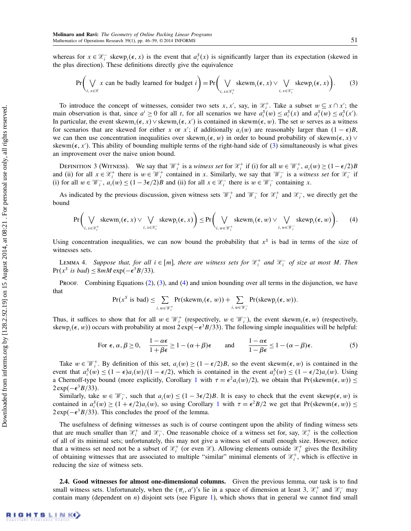whereas for  $x \in \mathcal{X}_i^-$  skewp<sub>i</sub> $(\epsilon, x)$  is the event that  $a_i^S(x)$  is significantly larger than its expectation (skewed in the plus direction). These definitions directly give the equivalence

<span id="page-6-0"></span>
$$
\Pr\bigg(\bigvee_{i,\,x\in\mathcal{X}}x\text{ can be badly learned for budget }i\bigg)=\Pr\bigg(\bigvee_{i,\,x\in\mathcal{X}^+_i}\text{skewm}_i(\epsilon,x)\vee\bigvee_{i,\,x\in\mathcal{X}^-_i}\text{skewp}_i(\epsilon,x)\bigg).
$$
 (3)

To introduce the concept of witnesses, consider two sets x, x', say, in  $\mathcal{X}_i^+$ . Take a subset  $w \subseteq x \cap x'$ ; the main observation is that, since  $a^t \ge 0$  for all t, for all scenarios we have  $a_i^S(w) \le a_i^S(x)$  and  $a_i^S(w) \le a_i^S(x')$ . In particular, the event skewm<sub>i</sub>( $\epsilon$ , x)  $\vee$  skewm<sub>i</sub>( $\epsilon$ , x') is contained in skewm( $\epsilon$ , w). The set w serves as a witness for scenarios that are skewed for either x or x'; if additionally  $a_i(w)$  are reasonably larger than  $(1 - \epsilon)B$ , we can then use concentration inequalities over skewm<sub>i</sub>( $\epsilon, w$ ) in order to bound probability of skewm( $\epsilon, x$ )  $\vee$ skewm( $\epsilon$ , x'). This ability of bounding multiple terms of the right-hand side of [\(3\)](#page-6-0) simultaneously is what gives an improvement over the naive union bound.

DEFINITION 3 (WITNESS). We say that  $\mathcal{W}_i^+$  is a witness set for  $\mathcal{X}_i^+$  if (i) for all  $w \in \mathcal{W}_i^+$ ,  $a_i(w) \ge (1 - \epsilon/2)B$ and (ii) for all  $x \in \mathcal{X}_i^+$  there is  $w \in \mathcal{W}_i^+$  contained in x. Similarly, we say that  $\mathcal{W}_i^-$  is a witness set for  $\mathcal{X}_i^-$  if (i) for all  $w \in \mathcal{W}_i^-$ ,  $a_i(w) \le (1 - 3\epsilon/2)B$  and (ii) for all  $x \in \mathcal{X}_i^-$  there is  $w \in \mathcal{W}_i^-$  containing x.

As indicated by the previous discussion, given witness sets  $\mathcal{W}_i^+$  and  $\mathcal{W}_i^-$  for  $\mathcal{X}_i^+$  and  $\mathcal{X}_i^-$ , we directly get the bound

<span id="page-6-1"></span>
$$
\Pr\bigg(\bigvee_{i,\,x\in\mathcal{X}_i^+}\text{skewm}_i(\epsilon,x)\vee\bigvee_{i,\,x\in\mathcal{X}_i^-}\text{skewp}_i(\epsilon,x)\bigg)\leq \Pr\bigg(\bigvee_{i,\,w\in\mathcal{W}_i^+}\text{skewm}_i(\epsilon,w)\vee\bigvee_{i,\,w\in\mathcal{W}_i^-}\text{skewp}_i(\epsilon,w)\bigg).
$$
 (4)

Using concentration inequalities, we can now bound the probability that  $x^s$  is bad in terms of the size of witnesses sets.

<span id="page-6-2"></span>LEMMA 4. Suppose that, for all  $i \in [m]$ , there are witness sets for  $\mathcal{X}_i^+$  and  $\mathcal{X}_i^-$  of size at most M. Then  $Pr(x^S \text{ is } bad) \leq 8mM \exp(-\epsilon^3 B/33).$ 

Proof. Combining Equations [\(2\)](#page-5-3), [\(3\)](#page-6-0), and [\(4\)](#page-6-1) and union bounding over all terms in the disjunction, we have that

$$
\Pr(x^S \text{ is bad}) \leq \sum_{i, w \in \mathbb{W}_i^+} \Pr(\text{skewm}_i(\epsilon, w)) + \sum_{i, w \in \mathbb{W}_i^-} \Pr(\text{skewp}_i(\epsilon, w)).
$$

Thus, it suffices to show that for all  $w \in \mathcal{W}_i^+$  (respectively,  $w \in \mathcal{W}_i^-$ ), the event skewm $_i(\epsilon, w)$  (respectively, skew $p_i(\epsilon, w)$ ) occurs with probability at most 2 exp( $-\epsilon^3 B/33$ ). The following simple inequalities will be helpful:

<span id="page-6-4"></span>For 
$$
\epsilon
$$
,  $\alpha$ ,  $\beta \ge 0$ ,  $\frac{1-\alpha\epsilon}{1+\beta\epsilon} \ge 1-(\alpha+\beta)\epsilon$  and  $\frac{1-\alpha\epsilon}{1-\beta\epsilon} \le 1-(\alpha-\beta)\epsilon$ . (5)

Take  $w \in \mathcal{W}_i^+$ . By definition of this set,  $a_i(w) \ge (1 - \epsilon/2)B$ , so the event skewm $(\epsilon, w)$  is contained in the event that  $a_i^S(w) \leq (1 - \epsilon)a_i(w)/(1 - \epsilon/2)$ , which is contained in the event  $a_i^S(w) \leq (1 - \epsilon/2)a_i(w)$ . Using a Chernoff-type bound (more explicitly, Corollary [1](#page-12-0) with  $\tau = \epsilon^2 a_i(w)/2$ ), we obtain that  $Pr(\text{skewm}(\epsilon, w)) \leq$  $2 \exp(-\epsilon^3 B/33)$ .

Similarly, take  $w \in \mathcal{W}_i^-$ , such that  $a_i(w) \leq (1 - 3\epsilon/2)B$ . It is easy to check that the event skewp $(\epsilon, w)$  is contained in  $a_i^S(w) \ge (1 + \epsilon/2) a_i(w)$  $a_i^S(w) \ge (1 + \epsilon/2) a_i(w)$  $a_i^S(w) \ge (1 + \epsilon/2) a_i(w)$ , so using Corollary 1 with  $\tau = \epsilon^2 B/2$  we get that  $Pr(\text{skewm}(\epsilon, w)) \le$  $2 \exp(-\epsilon^3 B/33)$ . This concludes the proof of the lemma.

The usefulness of defining witnesses as such is of course contingent upon the ability of finding witness sets that are much smaller than  $\mathcal{X}_i^+$  and  $\mathcal{X}_i^-$ . One reasonable choice of a witness set for, say,  $\mathcal{X}_i^+$  is the collection of all of its minimal sets; unfortunately, this may not give a witness set of small enough size. However, notice that a witness set need not be a subset of  $\mathcal{X}_i^+$  (or even  $\mathcal{X}$ ). Allowing elements outside  $\mathcal{X}_i^+$  gives the flexibility of obtaining witnesses that are associated to multiple "similar" minimal elements of  $\mathcal{X}_i^+$ , which is effective in reducing the size of witness sets.

<span id="page-6-3"></span>2.4. Good witnesses for almost one-dimensional columns. Given the previous lemma, our task is to find small witness sets. Unfortunately, when the  $(\pi_t, a^t)$ 's lie in a space of dimension at least 3,  $\mathcal{X}_i^+$  and  $\mathcal{X}_i^-$  may contain many (dependent on  $n$ ) disjoint sets (see Figure [1\)](#page-7-0), which shows that in general we cannot find small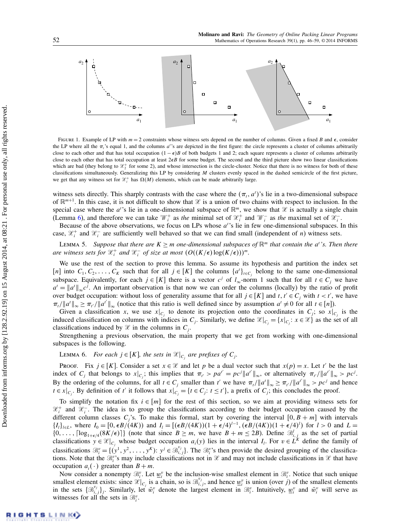

<span id="page-7-0"></span>FIGURE 1. Example of LP with  $m = 2$  constraints whose witness sets depend on the number of columns. Given a fixed B and  $\epsilon$ , consider the LP where all the  $\pi_i$ 's equal 1, and the columns  $a_i$ 's are depicted in the first figure: the circle represents a cluster of columns arbitrarily close to each other and that has total occupation  $(1 - \epsilon)B$  of both budgets 1 and 2; each square represents a cluster of columns arbitrarily close to each other that has total occupation at least  $2 \epsilon B$  for some budget. The second and the third picture show two linear classifications which are bad (they belong to  $\mathcal{X}_2^+$  for some 2), and whose intersection is the circle-cluster. Notice that there is no witness for both of these classifications simultaneously. Generalizing this LP by considering M clusters evenly spaced in the dashed semicircle of the first picture, we get that any witness set for  $\mathcal{X}_i^+$  has  $\Omega(M)$  elements, which can be made arbitrarily large.

witness sets directly. This sharply contrasts with the case where the  $(\pi_t, a^t)$ 's lie in a two-dimensional subspace of  $\mathbb{R}^{m+1}$ . In this case, it is not difficult to show that  $\mathcal X$  is a union of two chains with respect to inclusion. In the special case where the  $a^t$ 's lie in a one-dimensional subspace of  $\mathbb{R}^m$ , we show that  $\mathcal X$  is actually a single chain (Lemma [6\)](#page-7-1), and therefore we can take  $\mathcal{W}_i^+$  as the minimal set of  $\mathcal{X}_i^+$  and  $\mathcal{W}_i^-$  as the maximal set of  $\mathcal{X}_i^-$ .

Because of the above observations, we focus on LPs whose  $a^t$ 's lie in few one-dimensional subspaces. In this case,  $\mathcal{X}_i^+$  and  $\mathcal{X}_i^-$  are sufficiently well behaved so that we can find small (independent of *n*) witness sets.

<span id="page-7-2"></span>LEMMA 5. Suppose that there are  $K \ge m$  one-dimensional subspaces of  $\mathbb{R}^m$  that contain the a''s. Then there are witness sets for  $\mathcal{X}_i^+$  and  $\mathcal{X}_i^-$  of size at most  $(O((K/\epsilon) \log(K/\epsilon)))^m$ .

We use the rest of the section to prove this lemma. So assume its hypothesis and partition the index set [n] into  $C_1, C_2, \ldots, C_K$  such that for all  $j \in [K]$  the columns  $\{a^i\}_{i \in C_j}$  belong to the same one-dimensional subspace. Equivalently, for each  $j \in [K]$  there is a vector  $c^j$  of  $l_\infty$ -norm 1 such that for all  $t \in C_j$  we have  $a^t = ||a^t||_{\infty} c^j$ . An important observation is that now we can order the columns (locally) by the ratio of profit over budget occupation: without loss of generality assume that for all  $j \in [K]$  and  $t, t' \in C_j$  with  $t < t'$ , we have  $\pi_t/\|a'\|_{\infty} \ge \pi_{t'}/\|a^{t'}\|_{\infty}$  (notice that this ratio is well defined since by assumption  $a^t \ne 0$  for all  $t \in [n]$ ).

Given a classification x, we use  $x|_{C_j}$  to denote its projection onto the coordinates in  $C_j$ ; so  $x|_{C_j}$  is the induced classification on columns with indices in  $C_j$ . Similarly, we define  $\mathcal{X}|_{C_j} = \{x|_{C_j}: x \in \mathcal{X}\}\$ as the set of all classifications induced by  $\mathcal X$  in the columns in  $C_j$ .

Strengthening a previous observation, the main property that we get from working with one-dimensional subspaces is the following.

<span id="page-7-1"></span>LEMMA 6. For each  $j \in [K]$ , the sets in  $\mathcal{X}|_{C_j}$  are prefixes of  $C_j$ .

PROOF. Fix  $j \in [K]$ . Consider a set  $x \in \mathcal{X}$  and let p be a dual vector such that  $x(p) = x$ . Let t' be the last index of  $C_j$  that belongs to  $x|_{C_j}$ ; this implies that  $\pi_{t'} > pa^{t'} = pc^{j} ||a^{t'}||_{\infty}$ , or alternatively  $\pi_{t'}/||a^{t'}||_{\infty} > pc^{j}$ . By the ordering of the columns, for all  $t \in C_j$  smaller than t' we have  $\pi_t / \|a^t\|_{\infty} \ge \pi_{t'} / \|a^{t'}\|_{\infty} > pc^j$  and hence  $t \in [c_j]$ . By definition of t' it follows that  $x|_{C_j} = \{t \in C_j : t \le t'\}$ , a prefix of  $C_j$ ; this concludes the proof.

To simplify the notation fix  $i \in [m]$  for the rest of this section, so we aim at providing witness sets for  $\mathcal{X}_i^+$  and  $\mathcal{X}_i^-$ . The idea is to group the classifications according to their budget occupation caused by the different column classes  $C_j$ 's. To make this formal, start by covering the interval  $[0, B + m]$  with intervals  ${I_l}_{l\in L}$ , where  $I_0 = [0, \epsilon B/(4K))$  and  $I_l = [(\epsilon B/(4K))(1 + \epsilon/4)^{l-1}, (\epsilon B/(4K))(1 + \epsilon/4)^l)$  for  $l > 0$  and  $L =$  $\{0,\ldots,[\log_{1+\epsilon/4}(8K/\epsilon)]\}$  (note that since  $B \ge m$ , we have  $B + m \le 2B$ ). Define  $\mathcal{B}_{i,j}^l$  as the set of partial classifications  $y \in \mathcal{X}|_{C_i}$  whose budget occupation  $a_i(y)$  lies in the interval  $I_i$ . For  $v \in L^k$  define the family of classifications  $\mathcal{B}_i^v = \{ (y^1, y^2, \dots, y^K) : y^j \in \mathcal{B}_{i,j}^{v_j} \}$ . The  $\mathcal{B}_i^{v}$ 's then provide the desired grouping of the classifications. Note that the  $\mathcal{B}_i^v$ 's may include classifications not in  $\mathcal X$  and may not include classifications in  $\mathcal X$  that have occupation  $a_i(\cdot)$  greater than  $B + m$ .

Now consider a nonempty  $\mathcal{B}_i^v$ . Let  $\underline{w}_i^v$  be the inclusion-wise smallest element in  $\mathcal{B}_i^v$ . Notice that such unique smallest element exists: since  $\mathcal{Z}|_{C_j}$  is a chain, so is  $\mathcal{B}_{i,j}^{v_j}$ , and hence  $\underline{w}_i^v$  is union (over j) of the smallest elements in the sets  $\{\mathcal{B}_{i,j}^{v_j}\}_j$ . Similarly, let  $\bar{w}_i^v$  denote the largest element in  $\mathcal{B}_i^v$ . Intuitively,  $\underline{w}_i^v$  and  $\bar{w}_i^v$  will serve as witnesses for all the sets in  $\mathcal{B}_{i}^{v}$ .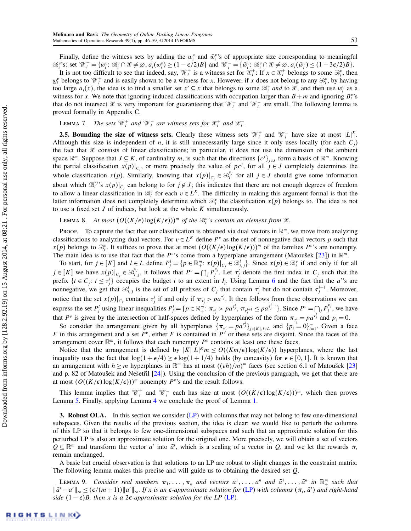Finally, define the witness sets by adding the  $\underline{w}_i^v$  and  $\overline{w}_i^v$ 's of appropriate size corresponding to meaningful  $\mathcal{B}_{i}^{v}$ 's: set  $\mathcal{W}_{i}^{+} = \{\underline{w}_{i}^{v} : \mathcal{B}_{i}^{v} \cap \mathcal{X} \neq \emptyset, a_{i}(\underline{w}_{i}^{v}) \geq (1 - \epsilon/2)B\}$  and  $\mathcal{W}_{i}^{-} = \{\overline{w}_{i}^{v} : \mathcal{B}_{i}^{v} \cap \mathcal{X} \neq \emptyset, a_{i}(\overline{w}_{i}^{v}) \leq (1 - 3\epsilon/2)B\}$ .

It is not too difficult to see that indeed, say,  $\mathcal{W}_i^+$  is a witness set for  $\mathcal{X}_i^+$ : If  $x \in \mathcal{X}_i^+$  belongs to some  $\mathcal{B}_i^v$ , then  $\underline{w}_i^v$  belongs to  $\mathcal{W}_i^+$  and is easily shown to be a witness for x. However, if x does not belong to any  $\mathcal{B}_i^v$ , by having too large  $a_i(x)$ , the idea is to find a smaller set  $x' \subseteq x$  that belongs to some  $\mathcal{B}_i^v$  and to  $\mathcal{X}$ , and then use  $\underline{w}_i^v$  as a witness for x. We note that ignoring induced classifications with occupation larger than  $B + m$  and ignoring  $B_i^{\nu}$ 's that do not intersect  $\mathcal X$  is very important for guaranteeing that  $\mathcal W_i^+$  and  $\mathcal W_i^-$  are small. The following lemma is proved formally in Appendix C.

<span id="page-8-3"></span>LEMMA 7. The sets  $\mathcal{W}_i^+$  and  $\mathcal{W}_i^-$  are witness sets for  $\mathcal{X}_i^+$  and  $\mathcal{X}_i^-$ .

**2.5. Bounding the size of witness sets.** Clearly these witness sets  $\mathcal{W}_i^+$  and  $\mathcal{W}_i^-$  have size at most  $|L|^K$ . Although this size is independent of *n*, it is still unnecessarily large since it only uses locally (for each  $C_j$ ) the fact that  $\mathcal X$  consists of linear classifications; in particular, it does not use the dimension of the ambient space  $\mathbb{R}^m$ . Suppose that  $J \subseteq K$ , of cardinality m, is such that the directions  $\{c^j\}_{j \in J}$  form a basis of  $\mathbb{R}^m$ . Knowing the partial classification  $x(p)|_{C_j}$ , or more precisely the value of  $pc^j$ , for all  $j \in J$  completely determines the whole classification  $x(p)$ . Similarly, knowing that  $x(p)|_{C_j} \in \mathcal{B}_i^{v_j}$  for all  $j \in J$  should give some information about which  $\mathcal{B}_i^{v_j}$ 's  $x(p)|_{C_j}$  can belong to for  $j \notin J$ ; this indicates that there are not enough degrees of freedom to allow a linear classification in  $\mathcal{B}_i^v$  for each  $v \in L^K$ . The difficulty in making this argument formal is that the latter information does not completely determine which  $\mathcal{B}_i^v$  the classification  $x(p)$  belongs to. The idea is not to use a fixed set  $J$  of indices, but look at the whole  $K$  simultaneously.

<span id="page-8-0"></span>LEMMA 8. At most  $(O((K/\epsilon) \log(K/\epsilon)))^m$  of the  $\mathcal{B}_i^v$ 's contain an element from  $\mathcal{X}$ .

PROOF. To capture the fact that our classification is obtained via dual vectors in  $\mathbb{R}^m$ , we move from analyzing classifications to analyzing dual vectors. For  $v \in L^K$  define  $P^v$  as the set of nonnegative dual vectors p such that  $x(p)$  belongs to  $\mathcal{B}_i^v$ . It suffices to prove that at most  $(O((K/\epsilon) \log(K/\epsilon)))^m$  of the families  $P^v$ 's are nonempty. The main idea is to use that fact that the  $P^{\nu}$ 's come from a hyperplane arrangement (Matoušek [\[23\]](#page-14-24)) in  $\mathbb{R}^m$ .

To start, for  $j \in [K]$  and  $l \in L$  define  $P_j^l = \{ p \in \mathbb{R}^m_+ : x(p)|_{C_j} \in \mathcal{B}_{i,j}^l \}$ . Since  $x(p) \in \mathcal{B}_i^v$  if and only if for all  $j \in [K]$  we have  $x(p)|_{C_j} \in \mathcal{B}_{i,j}^{v_j}$ , it follows that  $P^v = \bigcap_j P_j^{v_j}$ . Let  $\tau_j^l$  denote the first index in  $C_j$  such that the prefix  $\{t \in C_j : t \leq \tau_j^l\}$  occupies the budget i to an extent in  $I_i$ . Using Lemma [6](#page-7-1) and the fact that the  $a^{t,s}$  are nonnegative, we get that  $\mathcal{B}_{i,j}^l$  is the set of all prefixes of  $C_j$  that contain  $\tau_j^l$  but do not contain  $\tau_j^{l+1}$ . Moreover, notice that the set  $x(p)|_{C_j}$  contains  $\tau_j^l$  if and only if  $\pi_{\tau_j^l} > pa^{\tau_j^l}$ . It then follows from these observations we can express the set  $P_j^l$  using linear inequalities  $P_j^l = \{p \in \mathbb{R}_+^{m} : \pi_{\tau_j^l} > pa^{\tau_j^l}, \pi_{\tau_j^{l+1}} \leq pa^{\tau_j^{l+1}}\}$ . Since  $P^v = \bigcap_j P_j^{v_j}$ , we have that  $P^v$  is given by the intersection of half-spaces defined by hyperplanes of the form  $\pi_{\tau_i^t} = p a^{\tau_i^t}$  and  $p_i = 0$ .

So consider the arrangement given by all hyperplanes  $\{\pi_{\tau_j^i} = pa^{\tau_j^i}\}_{j \in [K], l \in L}$  and  $\{p_i = 0\}_{i=1}^m$ . Given a face F in this arrangement and a set  $P^v$ , either F is contained in  $P^v$  or these sets are disjoint. Since the faces of the arrangement cover  $\mathbb{R}^m$ , it follows that each nonempty  $P^v$  contains at least one these faces.

Notice that the arrangement is defined by  $|K||L|^{K}m \le O((Km/\epsilon) \log(K/\epsilon))$  hyperplanes, where the last inequality uses the fact that  $\log(1 + \epsilon/4) \ge \epsilon \log(1 + 1/4)$  holds (by concavity) for  $\epsilon \in [0, 1]$ . It is known that an arrangement with  $h \ge m$  hyperplanes in  $\mathbb{R}^m$  has at most  $((eh)/m)^m$  faces (see section 6.1 of Matoušek [\[23\]](#page-14-24) and p. 82 of Matoušek and Nešetřil  $[24]$ ). Using the conclusion of the previous paragraph, we get that there are at most  $(O((K/\epsilon) \log(K/\epsilon)))^m$  nonempty  $P^v$ 's and the result follows.

This lemma implies that  $\mathcal{W}_i^+$  and  $\mathcal{W}_i^-$  each has size at most  $(O((K/\epsilon) \log(K/\epsilon)))^m$ , which then proves Lemma [5.](#page-7-2) Finally, applying Lemma [4](#page-6-2) we conclude the proof of Lemma [1.](#page-4-2)

<span id="page-8-1"></span>3. Robust OLA. In this section we consider [\(LP\)](#page-1-0) with columns that may not belong to few one-dimensional subspaces. Given the results of the previous section, the idea is clear: we would like to perturb the columns of this LP so that it belongs to few one-dimensional subspaces and such that an approximate solution for this perturbed LP is also an approximate solution for the original one. More precisely, we will obtain a set of vectors  $Q \subseteq \mathbb{R}^m$  and transform the vector  $a^t$  into  $\tilde{a}^t$ , which is a scaling of a vector in Q, and we let the rewards  $\pi_t$ remain unchanged.

A basic but crucial observation is that solutions to an LP are robust to slight changes in the constraint matrix. The following lemma makes this precise and will guide us to obtaining the desired set Q.

<span id="page-8-2"></span>LEMMA 9. Consider real numbers  $\pi_1, \ldots, \pi_n$  and vectors  $a^1, \ldots, a^n$  and  $\tilde{a}^1, \ldots, \tilde{a}^n$  in  $\mathbb{R}^m_+$  such that  $\|\tilde{a}^t - a^t\|_{\infty} \leq (\epsilon/(m+1)) \|a^t\|_{\infty}$ . If x is an  $\epsilon$ -approximate solution for [\(LP\)](#page-1-0) with columns  $(\pi_t, \tilde{a}^t)$  and right-hand side  $(1 - \epsilon)B$ , then x is a 2 $\epsilon$ -approximate solution for the LP [\(LP\)](#page-1-0).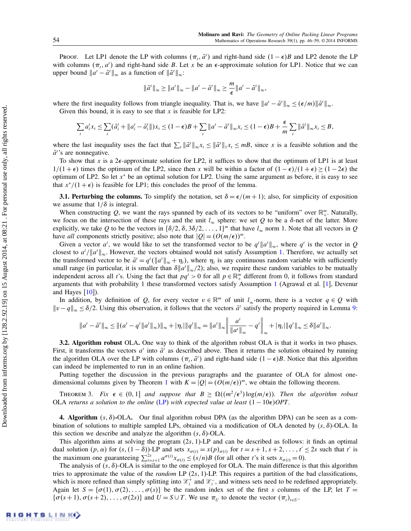Proof. Let LP1 denote the LP with columns  $(\pi_t, \tilde{a}^t)$  and right-hand side  $(1 - \epsilon)B$  and LP2 denote the LP with columns  $(\pi_t, a^t)$  and right-hand side B. Let x be an  $\epsilon$ -approximate solution for LP1. Notice that we can upper bound  $||a^t - \tilde{a}^t||_{\infty}$  as a function of  $||\tilde{a}^t||_{\infty}$ :

$$
\|\tilde{a}^t\|_{\infty} \ge \|a^t\|_{\infty} - \|a^t - \tilde{a}^t\|_{\infty} \ge \frac{m}{\epsilon} \|a^t - \tilde{a}^t\|_{\infty},
$$

where the first inequality follows from triangle inequality. That is, we have  $||a^t - \tilde{a}^t||_{\infty} \le (\epsilon/m) ||\tilde{a}^t||_{\infty}$ . Given this bound, it is easy to see that  $x$  is feasible for LP2:

$$
\sum_{t} a_{i}^{t} x_{t} \leq \sum_{t} (\tilde{a}_{i}^{t} + \|a_{i}^{t} - \tilde{a}_{i}^{t}\|) x_{t} \leq (1 - \epsilon)B + \sum_{t} \|a^{t} - \tilde{a}^{t}\|_{\infty} x_{t} \leq (1 - \epsilon)B + \frac{\epsilon}{m} \sum_{t} \|\tilde{a}^{t}\|_{\infty} x_{t} \leq B,
$$

where the last inequality uses the fact that  $\sum_{t} ||\tilde{a}^t||_{\infty} x_t \le ||\tilde{a}^t||_1 x_t \le mB$ , since x is a feasible solution and the  $\tilde{a}^t$ 's are nonnegative.

To show that x is a  $2\epsilon$ -approximate solution for LP2, it suffices to show that the optimum of LP1 is at least  $1/(1+\epsilon)$  times the optimum of the LP2, since then x will be within a factor of  $(1-\epsilon)/(1+\epsilon) \ge (1-2\epsilon)$  the optimum of LP2. So let  $x^*$  be an optimal solution for LP2. Using the same argument as before, it is easy to see that  $x^*/(1+\epsilon)$  is feasible for LP1; this concludes the proof of the lemma.

3.1. Perturbing the columns. To simplify the notation, set  $\delta = \epsilon/(m+1)$ ; also, for simplicity of exposition we assume that  $1/\delta$  is integral.

When constructing Q, we want the rays spanned by each of its vectors to be "uniform" over  $\mathbb{R}^m_+$ . Naturally, we focus on the intersection of these rays and the unit  $l_{\infty}$  sphere: we set Q to be a  $\delta$ -net of the latter. More explicitly, we take Q to be the vectors in  $\{\delta/2, \delta, 3\delta/2, \ldots, 1\}^m$  that have  $l_\infty$  norm 1. Note that all vectors in Q have all components strictly positive; also note that  $|Q| = (O(m/\epsilon))^m$ .

Given a vector  $a^t$ , we would like to set the transformed vector to be  $q^t ||a^t||_{\infty}$ , where  $q^t$  is the vector in Q closest to  $a^t/\|a^t\|_{\infty}$ . However, the vectors obtained would not satisfy Assumption [1.](#page-3-1) Therefore, we actually set the transformed vector to be  $\tilde{a}^t = q^t(||a^t||_{\infty} + \eta_t)$ , where  $\eta_t$  is any continuous random variable with sufficiently small range (in particular, it is smaller than  $\delta ||a^t||_{\infty}/2$ ); also, we require these random variables to be mutually independent across all t's. Using the fact that  $pq' > 0$  for all  $p \in \mathbb{R}^m_+$  different from 0, it follows from standard arguments that with probability 1 these transformed vectors satisfy Assumption [1](#page-3-1) (Agrawal et al. [\[1\]](#page-14-2), Devenur and Hayes  $[10]$ ).

In addition, by definition of Q, for every vector  $v \in \mathbb{R}^m$  of unit  $l_\infty$ -norm, there is a vector  $q \in Q$  with  $||v - q||_{\infty} \le \delta/2$ . Using this observation, it follows that the vectors  $\tilde{a}^t$  satisfy the property required in Lemma [9:](#page-8-2)

$$
\|a^{t}-\tilde{a}^{t}\|_{\infty} \leq \|(a^{t}-q^{t}\|a^{t}\|_{\infty})\|_{\infty} + |\eta_{t}|\|q^{t}\|_{\infty} = \|a^{t}\|_{\infty} \left\|\frac{a^{t}}{\|a^{t}\|_{\infty}} - q^{t}\right\|_{\infty} + |\eta_{t}|\|q^{t}\|_{\infty} \leq \delta \|a^{t}\|_{\infty}.
$$

3.2. Algorithm robust OLA. One way to think of the algorithm robust OLA is that it works in two phases. First, it transforms the vectors  $a^t$  into  $\tilde{a}^t$  as described above. Then it returns the solution obtained by running the algorithm OLA over the LP with columns  $(\pi_t, \tilde{a}^t)$  and right-hand side  $(1 - \epsilon)B$ . Notice that this algorithm can indeed be implemented to run in an online fashion.

Putting together the discussion in the previous paragraphs and the guarantee of OLA for almost one-dimensional columns given by Theorem [1](#page-4-0) with  $K = |Q| = (O(m/\epsilon))^m$ , we obtain the following theorem.

THEOREM 3. Fix  $\epsilon \in (0,1]$  and suppose that  $B \geq \Omega((m^2/\epsilon^3) \log(m/\epsilon))$ . Then the algorithm robust OLA returns a solution to the online [\(LP\)](#page-1-0) with expected value at least  $(1 - 10\epsilon)OPT$ .

**4. Algorithm**  $(s, \delta)$ -OLA. Our final algorithm robust DPA (as the algorithm DPA) can be seen as a combination of solutions to multiple sampled LPs, obtained via a modification of OLA denoted by  $(s, \delta)$ -OLA. In this section we describe and analyze the algorithm  $(s, \delta)$ -OLA.

This algorithm aims at solving the program  $(2s, 1)$ -LP and can be described as follows: it finds an optimal dual solution  $(p, \alpha)$  for  $(s, (1 - \delta))$ -LP and sets  $x_{\sigma(t)} = x(p)_{\sigma(t)}$  for  $t = s + 1, s + 2, \ldots, t' \leq 2s$  such that t' is the maximum one guaranteeing  $\sum_{t=s+1}^{2s} a^{\sigma(t)} x_{\sigma(t)} \le (s/n)B$  (for all other t's it sets  $x_{\sigma(t)} = 0$ ).

<span id="page-9-0"></span>The analysis of  $(s, \delta)$ -OLA is similar to the one employed for OLA. The main difference is that this algorithm tries to approximate the value of the *random* LP  $(2s, 1)$ -LP. This requires a partition of the bad classifications, which is more refined than simply splitting into  $\mathcal{X}_i^+$  and  $\mathcal{X}_i^-$ , and witness sets need to be redefined appropriately. Again let  $S = \{\sigma(1), \sigma(2), \ldots, \sigma(s)\}\$  be the random index set of the first s columns of the LP, let  $T =$  $\{\sigma(s+1), \sigma(s+2), \ldots, \sigma(2s)\}\$ and  $U = S \cup T$ . We use  $\pi_U$  to denote the vector  $(\pi_t)_{t \in U}$ .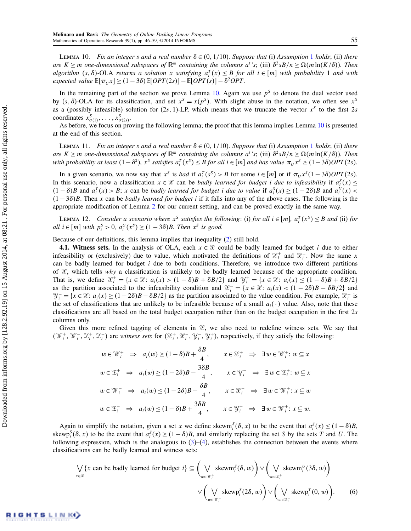LEMMA [1](#page-3-1)0. Fix an integer s and a real number  $\delta \in (0, 1/10)$ . Suppose that (i) Assumption 1 holds; (ii) there are  $K \ge m$  one-dimensional subspaces of  $\mathbb{R}^m$  containing the columns  $a^t$ 's; (iii)  $\delta^2 sB/n \ge \Omega(m\ln(K/\delta))$ . Then algorithm  $(s, \delta)$ -OLA returns a solution x satisfying  $a_i^T(x) \leq B$  for all  $i \in [m]$  with probability 1 and with expected value  $\mathbb{E}[\pi_U x] \geq (1 - 3\delta) \mathbb{E}[OPT(2s)] - \mathbb{E}[OPT(s)] - \delta^2 OPT$ .

In the remaining part of the section we prove Lemma [10.](#page-9-0) Again we use  $p<sup>S</sup>$  to denote the dual vector used by  $(s, \delta)$ -OLA for its classification, and set  $x^s = x(p^s)$ . With slight abuse in the notation, we often see  $x^s$ as a (possibly infeasible) solution for  $(2s, 1)$ -LP, which means that we truncate the vector  $x<sup>S</sup>$  to the first  $2s$ coordinates  $x^S_{\sigma(1)}, \ldots, x^S_{\sigma(2s)}$ .

As before, we focus on proving the following lemma; the proof that this lemma implies Lemma [10](#page-9-0) is presented at the end of this section.

<span id="page-10-0"></span>LEMMA [1](#page-3-1)1. Fix an integer s and a real number  $\delta \in (0, 1/10)$ . Suppose that (i) Assumption 1 holds; (ii) there are  $K \ge m$  one-dimensional subspaces of  $\mathbb{R}^m$  containing the columns a''s; (iii)  $\delta^2 sB/n \ge \Omega(m\ln(K/\delta))$ . Then with probability at least  $(1-\delta^2)$ ,  $x^S$  satisfies  $a_i^T(x^S) \leq B$  for all  $i \in [m]$  and has value  $\pi_U x^S \geq (1-3\delta)OPT(2s)$ .

In a given scenario, we now say that  $x^s$  is *bad* if  $a_i^T(s^s) > B$  for some  $i \in [m]$  or if  $\pi_U x^s (1 - 3\delta) OPT(2s)$ . In this scenario, now a classification  $x \in \mathcal{X}$  can be *badly learned for budget i due to infeasibility* if  $a_i^S(x) \leq$  $(1 - \delta)B$  and  $a_i^T(x) > B$ ; x can be badly learned for budget i due to value if  $a_i^S(x) \ge (1 - 2\delta)B$  and  $a_i^U(x)$  $(1-3\delta)B$ . Then x can be *badly learned for budget i* if it falls into any of the above cases. The following is the appropriate modification of Lemma [2](#page-5-2) for our current setting, and can be proved exactly in the same way.

LEMMA 12. Consider a scenario where  $x^S$  satisfies the following: (i) for all  $i \in [m]$ ,  $a_i^T(x^S) \leq B$  and (ii) for all  $i \in [m]$  with  $p_i^S > 0$ ,  $a_i^U(x^S) \ge (1 - 3\delta)B$ . Then  $x^S$  is good.

Because of our definitions, this lemma implies that inequality [\(2\)](#page-5-3) still hold.

4.1. Witness sets. In the analysis of OLA, each  $x \in \mathcal{X}$  could be badly learned for budget i due to either infeasibility or (exclusively) due to value, which motivated the definitions of  $\mathcal{X}_i^+$  and  $\mathcal{X}_i^-$ . Now the same x can be badly learned for budget i due to both conditions. Therefore, we introduce two different partitions of  $\mathcal{X}$ , which tells why a classification is unlikely to be badly learned because of the appropriate condition. That is, we define  $\mathcal{X}_i^+ = \{x \in \mathcal{X} : a_i(x) > (1 - \delta)B + \delta B/2\}$  and  $\mathcal{Y}_i^+ = \{x \in \mathcal{X} : a_i(x) \le (1 - \delta)B + \delta B/2\}$ as the partition associated to the infeasibility condition and  $\mathcal{X}^-_i = \{x \in \mathcal{X} : a_i(x) < (1 - 2\delta)B - \delta B/2\}$  and  $\mathcal{Y}^-_i = \{x \in \mathcal{X} : a_i(x) \ge (1 - 2\delta)B - \delta B/2\}$  as the partition associated to the value condition. For example,  $\mathcal{X}^-_i$  is the set of classifications that are unlikely to be infeasible because of a small  $a_i(\cdot)$  value. Also, note that these classifications are all based on the total budget occupation rather than on the budget occupation in the first 2s columns only.

Given this more refined tagging of elements in  $X$ , we also need to redefine witness sets. We say that  $(\mathcal{W}_i^+, \mathcal{W}_i^-, \mathcal{Z}_i^+, \mathcal{Z}_i^-)$  are witness sets for  $(\mathcal{X}_i^+, \mathcal{X}_i^-, \mathcal{Y}_i^+, \mathcal{Y}_i^+)$ , respectively, if they satisfy the following:

$$
w \in \mathcal{W}_i^+ \Rightarrow a_i(w) \ge (1 - \delta)B + \frac{\delta B}{4}, \qquad x \in \mathcal{X}_i^+ \Rightarrow \exists w \in \mathcal{W}_i^+ : w \subseteq x
$$
  

$$
w \in \mathcal{X}_i^+ \Rightarrow a_i(w) \ge (1 - 2\delta)B - \frac{3\delta B}{4}, \qquad x \in \mathcal{Y}_i^- \Rightarrow \exists w \in \mathcal{X}_i^+ : w \subseteq x
$$
  

$$
w \in \mathcal{W}_i^- \Rightarrow a_i(w) \le (1 - 2\delta)B - \frac{\delta B}{4}, \qquad x \in \mathcal{X}_i^- \Rightarrow \exists w \in \mathcal{W}_i^+ : x \subseteq w
$$
  

$$
w \in \mathcal{X}_i^- \Rightarrow a_i(w) \le (1 - \delta)B + \frac{3\delta B}{4}, \qquad x \in \mathcal{Y}_i^+ \Rightarrow \exists w \in \mathcal{W}_i^+ : x \subseteq w.
$$

Again to simplify the notation, given a set x we define skewm<sup>S</sup><sub>i</sub>( $\delta$ , x) to be the event that  $a_i^S(x) \leq (1 - \delta)B$ , skewp<sup>S</sup><sub>i</sub>( $\delta$ , x) to be the event that  $a_i^S(x) \ge (1 - \delta)B$ , and similarly replacing the set S by the sets T and U. The following expression, which is the analogous to  $(3)$ – $(4)$ , establishes the connection between the events where classifications can be badly learned and witness sets:

<span id="page-10-1"></span>
$$
\bigvee_{x \in \mathcal{X}} \{x \text{ can be badly learned for budget } i\} \subseteq \left(\bigvee_{w \in \mathcal{W}_i^+} \text{skewm}_i^S(\delta, w)\right) \vee \left(\bigvee_{w \in \mathcal{X}_i^+} \text{skewm}_i^U(3\delta, w)\right)
$$

$$
\vee \left(\bigvee_{w \in \mathcal{W}_i^-} \text{skewp}_i^S(2\delta, w)\right) \vee \left(\bigvee_{w \in \mathcal{X}_i^-} \text{skewp}_i^T(0, w)\right).
$$
(6)

RIGHTS LINK()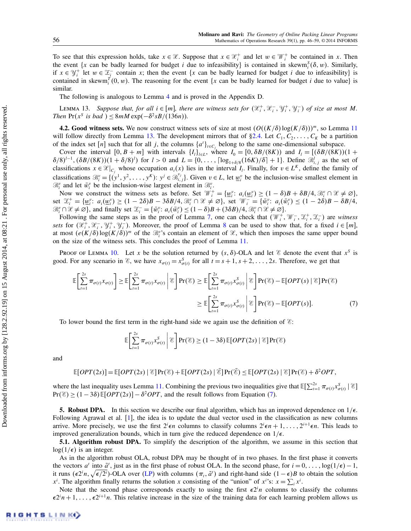To see that this expression holds, take  $x \in \mathcal{X}$ . Suppose that  $x \in \mathcal{X}^+_i$  and let  $w \in \mathcal{W}^+_i$  be contained in x. Then the event {x can be badly learned for budget i due to infeasibility} is contained in skewm $_i^S(\delta, w)$ . Similarly, if  $x \in \mathcal{Y}_i^+$  let  $w \in \mathcal{Z}_i^-$  contain x; then the event {x can be badly learned for budget i due to infeasibility} is contained in skewm<sup>T</sup><sub>i</sub>(0, w). The reasoning for the event {x can be badly learned for budget i due to value} is similar.

The following is analogous to Lemma [4](#page-6-2) and is proved in the Appendix D.

<span id="page-11-1"></span>LEMMA 13. Suppose that, for all  $i \in [m]$ , there are witness sets for  $(\mathscr{X}_i^+, \mathscr{X}_i^-, \mathscr{Y}_i^+, \mathscr{Y}_i^-)$  of size at most M. Then  $Pr(x^S \text{ is bad}) \leq 8mM \exp(-\delta^2 sB/(136n)).$ 

4.2. Good witness sets. We now construct witness sets of size at most  $(O((K/\delta)\log(K/\delta)))^m$ , so Lemma [11](#page-10-0) will follow directly from Lemma [13.](#page-11-1) The development mirrors that of  $\S 2.4$ . Let  $C_1, C_2, \ldots, C_K$  be a partition of the index set [n] such that for all j, the columns  $\{a^t\}_{t \in C_j}$  belong to the same one-dimensional subspace.

Cover the interval  $[0, B + m]$  with intervals  $\{I_i\}_{i \in L}$ , where  $I_0 = [0, \delta B/(8K))$  and  $I_i = [(\delta B/(8K)) (1 +$  $\delta/8$ <sup>l-1</sup>,  $(\delta B/(8K))(1+\delta/8)^l$  for  $l > 0$  and  $L = \{0, \ldots, \lceil \log_{1+\delta/8}(16K)/\delta \rceil + 1\}$ . Define  $\mathcal{B}_{i,j}^l$  as the set of classifications  $x \in \mathcal{X}|_{C_j}$  whose occupation  $a_i(x)$  lies in the interval  $I_i$ . Finally, for  $v \in L^k$ , define the family of classifications  $\mathcal{B}_i^v = \{ (y^1, y^2, \dots, y^K) : y^j \in \mathcal{B}_{i,j}^{v_j} \}$ . Given  $v \in L$ , let  $\underline{w}_i^v$  be the inclusion-wise smallest element in  $\mathcal{B}_{i}^{v}$  and let  $\bar{w}_{i}^{v}$  be the inclusion-wise largest element in  $\mathcal{B}_{i}^{v}$ .

Now we construct the witness sets as before. Set  $\mathcal{W}_i^+ = {\{\underline{w}_i^v : a_i({\underline{w}_i^v}) \ge (1 - \delta)B + \delta B/4, \mathcal{B}_i^v \cap \mathcal{X} \neq \emptyset\}}$ set  $\mathfrak{X}_{i}^{+} = {\underline{w}_{i}^{v}}$ :  $a_{i}(\underline{w}_{i}^{v}) \geq (1-2\delta)B - 3\delta B/4$ ,  $\mathfrak{B}_{i}^{v} \cap \mathcal{X} \neq \emptyset$ , set  $\mathcal{W}_{i}^{-} = {\overline{w}_{i}^{v}}$ :  $a_{i}(\overline{w}_{i}^{v}) \leq (1-2\delta)B - \delta B/4$ ,  $\mathcal{B}_{i}^{v} \cap \mathcal{X} \neq \emptyset$ , and finally set  $\mathcal{I}_{i}^{-} = {\overline{w}_{i}^{v} : a_{i}(\overline{w}_{i}^{v}) \leq (1 - \delta)B + (3\delta B)/4}, \mathcal{B}_{i}^{v} \cap \mathcal{X} \neq \emptyset}$ .

Following the same steps as in the proof of Lemma [7,](#page-8-3) one can check that  $(\mathcal{W}_i^+, \mathcal{W}_i^-, \mathcal{Z}_i^+, \mathcal{Z}_i^-)$  are witness sets for  $(\mathcal{X}_i^+, \mathcal{X}_i^-, \mathcal{Y}_i^+, \mathcal{Y}_i^-)$ . Moreover, the proof of Lemma [8](#page-8-0) can be used to show that, for a fixed  $i \in [m]$ , at most  $(e(K/\delta)\log(K/\delta))^m$  of the  $\mathcal{B}_i^v$ 's contain an element of  $\mathcal{X}$ , which then imposes the same upper bound on the size of the witness sets. This concludes the proof of Lemma [11.](#page-10-0)

PROOF OF LEMMA [10.](#page-9-0) Let x be the solution returned by  $(s, \delta)$ -OLA and let  $\mathscr E$  denote the event that  $x^s$  is good. For any scenario in  $\mathcal{E}$ , we have  $x_{\sigma(t)} = x_{\sigma(t)}^S$  for all  $t = s + 1, s + 2, ..., 2s$ . Therefore, we get that

<span id="page-11-2"></span>
$$
\mathbb{E}\left[\sum_{t=1}^{2s} \pi_{\sigma(t)} x_{\sigma(t)}\right] \geq \mathbb{E}\left[\sum_{t=1}^{2s} \pi_{\sigma(t)} x_{\sigma(t)} \middle| \mathcal{E}\right] Pr(\mathcal{E}) \geq \mathbb{E}\left[\sum_{t=1}^{2s} \pi_{\sigma(t)} x_{\sigma(t)}^S \middle| \mathcal{E}\right] Pr(\mathcal{E}) - \mathbb{E}[OPT(s) | \mathcal{E}] Pr(\mathcal{E})
$$

$$
\geq \mathbb{E}\left[\sum_{t=1}^{2s} \pi_{\sigma(t)} x_{\sigma(t)}^S \middle| \mathcal{E}\right] Pr(\mathcal{E}) - \mathbb{E}[OPT(s)]. \tag{7}
$$

To lower bound the first term in the right-hand side we again use the definition of  $\mathscr{E}$ :

$$
\mathbb{E}\bigg[\sum_{t=1}^{2s}\pi_{\sigma(t)}x_{\sigma(t)}^S\bigg|\,\mathcal{E}\bigg]\Pr(\mathcal{E})\geq(1-3\delta)\,\mathbb{E}[OPT(2s)\,|\,\mathcal{E}]\Pr(\mathcal{E})
$$

and

$$
\mathbb{E}[OPT(2s)] = \mathbb{E}[OPT(2s) | \mathcal{E}] Pr(\mathcal{E}) + \mathbb{E}[OPT(2s) | \mathcal{E}] Pr(\mathcal{E}) \leq \mathbb{E}[OPT(2s) | \mathcal{E}] Pr(\mathcal{E}) + \delta^2 OPT,
$$

where the last inequality uses Lemma [11.](#page-10-0) Combining the previous two inequalities give that  $\mathbb{E}[\sum_{t=1}^{2s} \pi_{\sigma(t)} x_{\sigma(t)}^S | \mathcal{E}]$  $Pr(\mathcal{E}) \ge (1 - 3\delta) \mathbb{E}[OPT(2s)] - \delta^2 OPT$ , and the result follows from Equation [\(7\)](#page-11-2).

<span id="page-11-0"></span>**5. Robust DPA.** In this section we describe our final algorithm, which has an improved dependence on  $1/\epsilon$ . Following Agrawal et al. [\[1\]](#page-14-2), the idea is to update the dual vector used in the classification as new columns arrive. More precisely, we use the first  $2^i \epsilon n$  columns to classify columns  $2^i \epsilon n + 1, \ldots, 2^{i+1} \epsilon n$ . This leads to improved generalization bounds, which in turn give the reduced dependence on  $1/\epsilon$ .

5.1. Algorithm robust DPA. To simplify the description of the algorithm, we assume in this section that  $log(1/\epsilon)$  is an integer.

As in the algorithm robust OLA, robust DPA may be thought of in two phases. In the first phase it converts the vectors  $a^t$  into  $\tilde{a}^t$ , just as in the first phase of robust OLA. In the second phase, for  $i = 0, \ldots, \log(1/\epsilon) - 1$ , it runs  $(\epsilon 2^i n, \sqrt{\epsilon/2^i})$ -OLA over [\(LP\)](#page-1-0) with columns  $(\pi_t, \tilde{a}^t)$  and right-hand side  $(1 - \epsilon)B$  to obtain the solution  $x^i$ . The algorithm finally returns the solution x consisting of the "union" of  $x^i$ 's:  $x = \sum_i x^i$ .

Note that the second phase corresponds exactly to using the first  $\epsilon 2^{i}n$  columns to classify the columns  $\epsilon 2^{i}n+1,\ldots,\epsilon 2^{i+1}n$ . This relative increase in the size of the training data for each learning problem allows us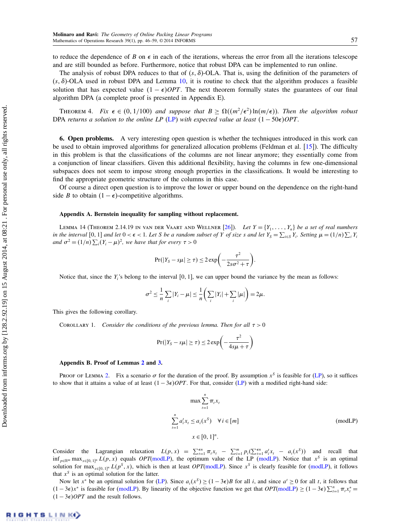to reduce the dependence of B on  $\epsilon$  in each of the iterations, whereas the error from all the iterations telescope and are still bounded as before. Furthermore, notice that robust DPA can be implemented to run online.

The analysis of robust DPA reduces to that of  $(s, \delta)$ -OLA. That is, using the definition of the parameters of  $(s, \delta)$ -OLA used in robust DPA and Lemma [10,](#page-9-0) it is routine to check that the algorithm produces a feasible solution that has expected value  $(1 - \epsilon)OPT$ . The next theorem formally states the guarantees of our final algorithm DPA (a complete proof is presented in Appendix E).

THEOREM 4. Fix  $\epsilon \in (0, 1/100)$  and suppose that  $B \geq \Omega((m^2/\epsilon^2) \ln(m/\epsilon))$ . Then the algorithm robust DPA returns a solution to the online LP [\(LP\)](#page-1-0) with expected value at least  $(1 - 50\epsilon)OPT$ .

6. Open problems. A very interesting open question is whether the techniques introduced in this work can be used to obtain improved algorithms for generalized allocation problems (Feldman et al. [\[15\]](#page-14-7)). The difficulty in this problem is that the classifications of the columns are not linear anymore; they essentially come from a conjunction of linear classifiers. Given this additional flexibility, having the columns in few one-dimensional subspaces does not seem to impose strong enough properties in the classifications. It would be interesting to find the appropriate geometric structure of the columns in this case.

Of course a direct open question is to improve the lower or upper bound on the dependence on the right-hand side B to obtain  $(1 - \epsilon)$ -competitive algorithms.

#### Appendix A. Bernstein inequality for sampling without replacement.

LEMMA 14 (THEOREM 2.14.19 IN VAN DER VAART AND WELLNER [\[26\]](#page-14-26)). Let  $Y = \{Y_1, \ldots, Y_n\}$  be a set of real numbers in the interval  $[0,1]$  and let  $0 < \epsilon < 1$ . Let S be a random subset of Y of size s and let  $Y_s = \sum_{i \in S} Y_i$ . Setting  $\mu = (1/n) \sum_i Y_i$ and  $\sigma^2 = (1/n) \sum_i (Y_i - \mu)^2$ , we have that for every  $\tau > 0$ 

$$
Pr(|Y_S - s\mu| \geq \tau) \leq 2 \exp\biggl(-\frac{\tau^2}{2s\sigma^2 + \tau}\biggr).
$$

Notice that, since the  $Y_i$ 's belong to the interval  $[0, 1]$ , we can upper bound the variance by the mean as follows:

$$
\sigma^2 \leq \frac{1}{n} \sum_i |Y_i - \mu| \leq \frac{1}{n} \left( \sum_i |Y_i| + \sum_i |\mu| \right) = 2\mu.
$$

<span id="page-12-0"></span>This gives the following corollary.

COROLLARY 1. Consider the conditions of the previous lemma. Then for all  $\tau > 0$ 

$$
Pr(|Y_S - s\mu| \ge \tau) \le 2 \exp\left(-\frac{\tau^2}{4s\mu + \tau}\right)
$$

#### Appendix B. Proof of Lemmas [2](#page-5-2) and [3.](#page-5-1)

PROOF OF LEMMA [2.](#page-5-2) Fix a scenario  $\sigma$  for the duration of the proof. By assumption  $x^S$  is feasible for [\(LP\)](#page-1-0), so it suffices to show that it attains a value of at least  $(1 - 3\epsilon)$  OPT. For that, consider [\(LP\)](#page-1-0) with a modified right-hand side:

<span id="page-12-1"></span>
$$
\max \sum_{t=1}^{n} \pi_t x_t
$$
  

$$
\sum_{t=1}^{n} a_t^t x_t \le a_i(x^S) \quad \forall i \in [m]
$$
  

$$
x \in [0, 1]^n.
$$
 (modLP)

Consider the Lagrangian relaxation  $L(p, x) = \sum_{t=1}^{\epsilon n} \pi_t x_t - \sum_{i=1}^m p_i (\sum_{t=1}^{\epsilon n} a_t^t x_t - a_i(x^s))$  and recall that  $\inf_{p \in \mathbb{R}^m} \max_{x \in [0,1]^n} L(p,x)$  equals  $OPT(\text{modLP})$ , the optimum value of the LP [\(modLP\)](#page-12-1). Notice that  $x^S$  is an optimal solution for  $\max_{x \in [0,1]^n} L(p^S, x)$ , which is then at least *OPT*[\(modLP\)](#page-12-1). Since  $x^S$  is clearly feasible for (modLP), it follows that  $x^S$  is an optimal solution for the latter.

Now let  $x^*$  be an optimal solution for [\(LP\)](#page-1-0). Since  $a_i(x^S) \ge (1-3\epsilon)B$  for all i, and since  $a^t \ge 0$  for all t, it follows that  $(1 - 3\epsilon)x^*$  is feasible for [\(modLP\)](#page-12-1). By linearity of the objective function we get that  $OPT(\text{modLP}) \ge (1 - 3\epsilon)\sum_{t=1}^n \pi_t x_t^* =$  $(1 - 3\epsilon)$ *OPT* and the result follows.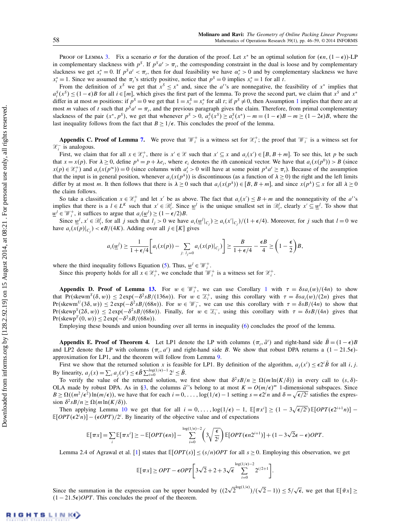PROOF OF LEMMA [3.](#page-5-1) Fix a scenario  $\sigma$  for the duration of the proof. Let x<sup>\*</sup> be an optimal solution for  $(\epsilon n, (1 - \epsilon))$ -LP in complementary slackness with  $p^S$ . If  $p^S a^t > \pi_t$ , the corresponding constraint in the dual is loose and by complementary slackness we get  $x_t^* = 0$ . If  $p^s a^t < \pi_t$ , then for dual feasibility we have  $\alpha_t^* > 0$  and by complementary slackness we have  $x_t^* = 1$ . Since we assumed the  $\pi_t$ 's strictly positive, notice that  $p^s = 0$  implies  $x_t^* = 1$  for all t.

From the definition of  $x^s$  we get that  $x^s \leq x^*$  and, since the a''s are nonnegative, the feasibility of  $x^*$  implies that  $a_i^S(x^S) \le (1 - \epsilon)B$  for all  $i \in [m]$ , which gives the first part of the lemma. To prove the second part, we claim that  $x^S$  and  $x^*$ differ in at most *m* positions: if  $p^s = 0$  we get that  $1 = x_t^s = x_t^*$  $1 = x_t^s = x_t^*$  for all *t*; if  $p^s \neq 0$ , then Assumption 1 implies that there are at most *m* values of *t* such that  $p^s a^t = \pi_t$ , and the previous paragraph gives the claim. Therefore, from primal complementary slackness of the pair  $(x^*, p^s)$ , we get that whenever  $p^s > 0$ ,  $a_i^s(x^s) \ge a_i^s(x^*) - m = (1 - \epsilon)B - m \ge (1 - 2\epsilon)B$ , where the last inequality follows from the fact that  $B \ge 1/\epsilon$ . This concludes the proof of the lemma.

Appendix C. Proof of Lemma [7.](#page-8-3) We prove that  $\mathcal{W}_i^+$  is a witness set for  $\mathcal{X}_i^+$ ; the proof that  $\mathcal{W}_i^-$  is a witness set for  $\mathcal{X}_i^-$  is analogous.

First, we claim that for all  $x \in \mathcal{X}_i^+$ , there is  $x' \in \mathcal{X}$  such that  $x' \subseteq x$  and  $a_i(x') \in [B, B+m]$ . To see this, let p be such that  $x = x(p)$ . For  $\lambda \ge 0$ , define  $p^{\lambda} = p + \lambda e_i$ , where  $e_i$  denotes the *i*th canonical vector. We have that  $a_i(x(p^0)) > B$  (since  $x(p) \in \mathbb{Z}_i^+$  and  $a_i(x(p^{\infty})) = 0$  (since columns with  $a_i^t > 0$  will have at some point  $p^{\lambda}a^t \ge \pi_i$ ). Because of the assumption that the input is in general position, whenever  $a_i(x(p^{\lambda}))$  is discontinuous (as a function of  $\lambda \ge 0$ ) the right and the left limits differ by at most m. It then follows that there is  $\lambda \geq 0$  such that  $a_i(x(p^{\lambda})) \in [B, B + m]$ , and since  $x(p^{\lambda}) \subseteq x$  for all  $\lambda \geq 0$ the claim follows.

So take a classification  $x \in \mathcal{X}_i^+$  and let x' be as above. The fact that  $a_i(x') \leq B + m$  and the nonnegativity of the  $a_i$ ''s implies that there is a  $l \in L^K$  such that  $x' \in \mathcal{B}_i^l$ . Since  $\underline{w}^l$  is the unique smallest set in  $\mathcal{B}_i^l$ , clearly  $x' \subseteq \underline{w}^l$ . To show that  $\underline{w}^l \in \mathcal{W}_i^+$ , it suffices to argue that  $a_i(\underline{w}^l) \ge (1 - \epsilon/2)B$ .

Since  $\underline{w}^l, x' \in \mathcal{B}_i^l$ , for all j such that  $l_j > 0$  we have  $a_i(\underline{w}^l|_{C_j}) \ge a_i(x'|_{C_j})/(1+\epsilon/4)$ . Moreover, for j such that  $l = 0$  we have  $a_i(x(p)|_{C_j}) < \epsilon B/(4K)$ . Adding over all  $j \in [K]$  gives

$$
a_i(\underline{w}^l) \ge \frac{1}{1+\epsilon/4} \bigg[ a_i(x(p)) - \sum_{j: l_j=0} a_i(x(p)|_{C_j}) \bigg] \ge \frac{B}{1+\epsilon/4} - \frac{\epsilon B}{4} \ge \bigg(1-\frac{\epsilon}{2}\bigg)B,
$$

where the third inequality follows Equation [\(5\)](#page-6-4). Thus,  $\underline{w}^l \in \mathcal{W}_i^+$ .

Since this property holds for all  $x \in \mathcal{X}_i^+$ , we conclude that  $\mathcal{W}_i^+$  is a witness set for  $\mathcal{X}_i^+$ .

Appendix D. Proof of Lemma [13.](#page-11-1) For  $w \in \mathcal{W}_i^+$ , we can use Corollary [1](#page-12-0) with  $\tau = \delta s a_i(w)/(4n)$  to show that  $Pr(\text{skewm}^S(\delta, w)) \leq 2 \exp(-\delta^2 s B/(136n))$ . For  $w \in \mathcal{Z}_i^+$ , using this corollary with  $\tau = \delta s a_i(w)/(2n)$  gives that  $Pr(\text{skewm}^U(3\delta, w)) \leq 2 \exp(-\delta^2 s B/(68n))$ . For  $w \in \mathcal{W}_i^-$ , we can use this corollary with  $\tau = \delta s B/(4n)$  to show that  $Pr(\text{skewp}^S(2\delta, w)) \leq 2 \exp(-\delta^2 s B/(68n)).$  Finally, for  $w \in \mathcal{I}_i^-$ , using this corollary with  $\tau = \delta s B/(4n)$  gives that  $Pr(\text{skewp}^T(0, w)) \leq 2 \exp(-\delta^2 s B/(68n)).$ 

Employing these bounds and union bounding over all terms in inequality [\(6\)](#page-10-1) concludes the proof of the lemma.

Appendix E. Proof of Theorem 4. Let LP1 denote the LP with columns  $(\pi_t, \tilde{a}^t)$  and right-hand side  $\tilde{B} = (1 - \epsilon)B$ and LP2 denote the LP with columns  $(\pi_t, a^t)$  and right-hand side B. We show that robust DPA returns a  $(1 - 21.5\epsilon)$ approximation for LP1, and the theorem will follow from Lemma [9.](#page-8-2)

First we show that the returned solution x is feasible for LP1. By definition of the algorithm,  $a_j(x^i) \le \epsilon 2^i \tilde{B}$  for all i, j. By linearity,  $a_j(x) = \sum_i a_j(x^i) \le \epsilon \tilde{B} \sum_{i=0}^{\log(1/\epsilon)-1} 2^i \le \tilde{B}$ .

To verify the value of the returned solution, we first show that  $\delta^2 s B/n \ge \Omega(m \ln(K/\delta))$  in every call to  $(s, \delta)$ -OLA made by robust DPA. As in [§3,](#page-8-1) the columns  $\tilde{a}^t$ 's belong to at most  $K = O(m/\epsilon)^m$  1-dimensional subspaces. Since  $B \ge \Omega((m^2/\epsilon^2) \ln(m/\epsilon))$ , we have that for each  $i = 0, \ldots, \log(1/\epsilon) - 1$  setting  $s = \epsilon^2 i n$  and  $\delta = \sqrt{\epsilon/2^i}$  satisfies the expression  $\delta^2 s B/n \geq \Omega(m \ln(K/\delta)).$ 

Then applying Lemma [10](#page-9-0) we get that for all  $i = 0, \ldots, \log(1/\epsilon) - 1$ ,  $\mathbb{E}[\pi x^i] \geq (1 - 3\sqrt{\epsilon/2^i}) \mathbb{E}[OPT(\epsilon 2^{i+1}n)]$  –  $\mathbb{E}[OPT(\epsilon 2^i n)] - (\epsilon OPT)/2^i$ . By linearity of the objective value and of expectations

$$
\mathbb{E}[\pi x] = \sum_{i} \mathbb{E}[\pi x^{i}] \geq -\mathbb{E}[OPT(\epsilon n)] - \sum_{i=0}^{\log(1/\epsilon)-2} \left(3\sqrt{\frac{\epsilon}{2^{i}}}\right) \mathbb{E}[OPT(\epsilon n 2^{i+1})] + (1-3\sqrt{2}\epsilon - \epsilon)OPT.
$$

Lemma 2.4 of Agrawal et al. [\[1\]](#page-14-2) states that  $\mathbb{E}[OPT(s)] \le (s/n)OPT$  for all  $s \ge 0$ . Employing this observation, we get

$$
\mathbb{E}[\pi x] \ge OPT - \epsilon OPT \bigg[ 3\sqrt{2} + 2 + 3\sqrt{\epsilon} \sum_{i=0}^{\log(1/\epsilon)-2} 2^{i/2+1} \bigg].
$$

Since the summation in the expression can be upper bounded by  $((2\sqrt{2}^{\log(1/\epsilon)})/(\sqrt{2}-1)) \le 5/\sqrt{\epsilon}$ , we get that  $\mathbb{E}[\tilde{\pi}x] \ge$  $(1 - 21.5\epsilon)$ OPT. This concludes the proof of the theorem.